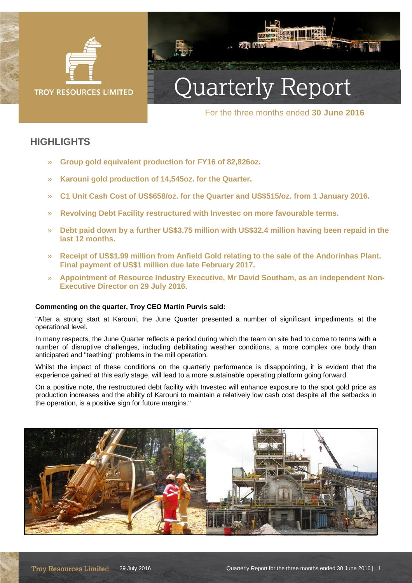

# Quarterly Report

**XIXIA IATAS** 

For the three months ended **30 June 2016**

# **HIGHLIGHTS**

- » **Group gold equivalent production for FY16 of 82,826oz.**
- » **Karouni gold production of 14,545oz. for the Quarter.**
- » **C1 Unit Cash Cost of US\$658/oz. for the Quarter and US\$515/oz. from 1 January 2016.**
- » **Revolving Debt Facility restructured with Investec on more favourable terms.**
- » **Debt paid down by a further US\$3.75 million with US\$32.4 million having been repaid in the last 12 months.**
- » **Receipt of US\$1.99 million from Anfield Gold relating to the sale of the Andorinhas Plant. Final payment of US\$1 million due late February 2017.**
- » **Appointment of Resource Industry Executive, Mr David Southam, as an independent Non-Executive Director on 29 July 2016.**

#### **Commenting on the quarter, Troy CEO Martin Purvis said:**

"After a strong start at Karouni, the June Quarter presented a number of significant impediments at the operational level.

In many respects, the June Quarter reflects a period during which the team on site had to come to terms with a number of disruptive challenges, including debilitating weather conditions, a more complex ore body than anticipated and "teething" problems in the mill operation.

Whilst the impact of these conditions on the quarterly performance is disappointing, it is evident that the experience gained at this early stage, will lead to a more sustainable operating platform going forward.

On a positive note, the restructured debt facility with Investec will enhance exposure to the spot gold price as production increases and the ability of Karouni to maintain a relatively low cash cost despite all the setbacks in the operation, is a positive sign for future margins."

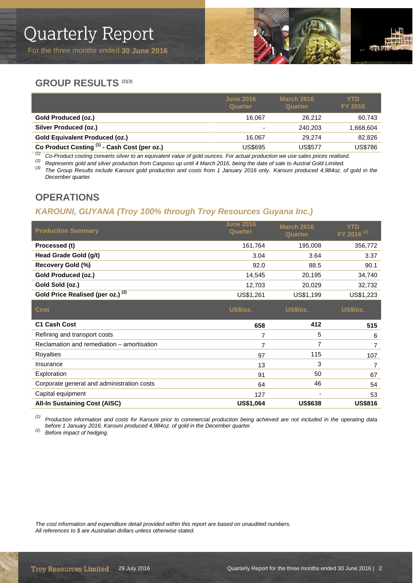

# **GROUP RESULTS (2)(3)**

| <b>YTD</b><br>FY 2016 |
|-----------------------|
| 60,743                |
| 868,604. ا            |
| 82,826                |
| US\$786               |
|                       |

(1) Co-Product costing converts silver to an equivalent value of gold ounces. For actual production we use sales prices realised.<br>(2) Represents gold and silver production from Casposo up until 4 March 2016, being the dat

*(3) The Group Results include Karouni gold production and costs from 1 January 2016 only. Karouni produced 4,984oz. of gold in the December quarter.*

# **OPERATIONS**

# *KAROUNI, GUYANA (Troy 100% through Troy Resources Guyana Inc.)*

| <b>Production Summary</b>                    | <b>June 2016</b><br><b>Quarter</b> | <b>March 2016</b><br><b>Quarter</b> | YTD<br>FY 2016 <sup>(1)</sup> |
|----------------------------------------------|------------------------------------|-------------------------------------|-------------------------------|
| Processed (t)                                | 161.764                            | 195.008                             | 356,772                       |
| Head Grade Gold (g/t)                        | 3.04                               | 3.64                                | 3.37                          |
| Recovery Gold (%)                            | 92.0                               | 88.5                                | 90.1                          |
| Gold Produced (oz.)                          | 14.545                             | 20.195                              | 34,740                        |
| Gold Sold (oz.)                              | 12.703                             | 20,029                              | 32,732                        |
| Gold Price Realised (per oz.) <sup>(2)</sup> | US\$1,261                          | US\$1,199                           | US\$1.223                     |

| <b>Cost</b>                                | <b>US\$/oz.</b> | <b>US\$/oz.</b> | <b>US\$/oz.</b> |
|--------------------------------------------|-----------------|-----------------|-----------------|
| <b>C1 Cash Cost</b>                        | 658             | 412             | 515             |
| Refining and transport costs               |                 | 5               | 6               |
| Reclamation and remediation – amortisation |                 |                 |                 |
| Royalties                                  | 97              | 115             | 107             |
| Insurance                                  | 13              | 3               |                 |
| Exploration                                | 91              | 50              | 67              |
| Corporate general and administration costs | 64              | 46              | 54              |
| Capital equipment                          | 127             |                 | 53              |
| <b>All-In Sustaining Cost (AISC)</b>       | US\$1,064       | <b>US\$638</b>  | <b>US\$816</b>  |

*(1) Production information and costs for Karouni prior to commercial production being achieved are not included in the operating data before 1 January 2016. Karouni produced 4,984oz. of gold in the December quarter. (2) Before impact of hedging.*

*The cost information and expenditure detail provided within this report are based on unaudited numbers. All references to \$ are Australian dollars unless otherwise stated.*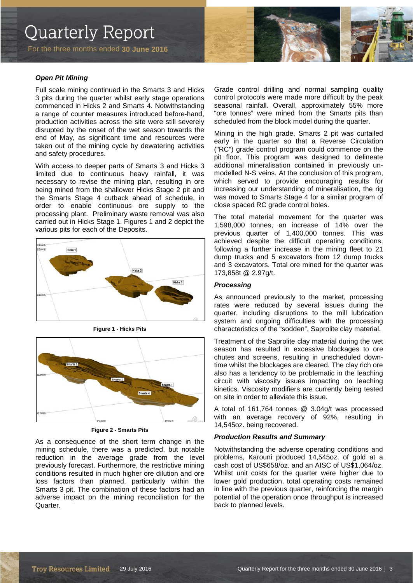For the three months ended **30 June 2016**

*Open Pit Mining*

Full scale mining continued in the Smarts 3 and Hicks 3 pits during the quarter whilst early stage operations commenced in Hicks 2 and Smarts 4. Notwithstanding a range of counter measures introduced before-hand, production activities across the site were still severely disrupted by the onset of the wet season towards the end of May, as significant time and resources were taken out of the mining cycle by dewatering activities and safety procedures.

With access to deeper parts of Smarts 3 and Hicks 3 limited due to continuous heavy rainfall, it was necessary to revise the mining plan, resulting in ore being mined from the shallower Hicks Stage 2 pit and the Smarts Stage 4 cutback ahead of schedule, in order to enable continuous ore supply to the processing plant. Preliminary waste removal was also carried out in Hicks Stage 1. Figures 1 and 2 depict the various pits for each of the Deposits.



**Figure 1 - Hicks Pits**



**Figure 2 - Smarts Pits**

As a consequence of the short term change in the mining schedule, there was a predicted, but notable reduction in the average grade from the level previously forecast. Furthermore, the restrictive mining conditions resulted in much higher ore dilution and ore loss factors than planned, particularly within the Smarts 3 pit. The combination of these factors had an adverse impact on the mining reconciliation for the Quarter.

Grade control drilling and normal sampling quality control protocols were made more difficult by the peak seasonal rainfall. Overall, approximately 55% more "ore tonnes" were mined from the Smarts pits than scheduled from the block model during the quarter.

Mining in the high grade, Smarts 2 pit was curtailed early in the quarter so that a Reverse Circulation ("RC") grade control program could commence on the pit floor. This program was designed to delineate additional mineralisation contained in previously unmodelled N-S veins. At the conclusion of this program, which served to provide encouraging results for increasing our understanding of mineralisation, the rig was moved to Smarts Stage 4 for a similar program of close spaced RC grade control holes.

The total material movement for the quarter was 1,598,000 tonnes, an increase of 14% over the previous quarter of 1,400,000 tonnes. This was achieved despite the difficult operating conditions, following a further increase in the mining fleet to 21 dump trucks and 5 excavators from 12 dump trucks and 3 excavators. Total ore mined for the quarter was 173,858t @ 2.97g/t.

#### *Processing*

As announced previously to the market, processing rates were reduced by several issues during the quarter, including disruptions to the mill lubrication system and ongoing difficulties with the processing characteristics of the "sodden", Saprolite clay material.

Treatment of the Saprolite clay material during the wet season has resulted in excessive blockages to ore chutes and screens, resulting in unscheduled downtime whilst the blockages are cleared. The clay rich ore also has a tendency to be problematic in the leaching circuit with viscosity issues impacting on leaching kinetics. Viscosity modifiers are currently being tested on site in order to alleviate this issue.

A total of 161,764 tonnes @ 3.04g/t was processed with an average recovery of 92%, resulting in 14,545oz. being recovered.

#### *Production Results and Summary*

Notwithstanding the adverse operating conditions and problems, Karouni produced 14,545oz. of gold at a cash cost of US\$658/oz. and an AISC of US\$1,064/oz. Whilst unit costs for the quarter were higher due to lower gold production, total operating costs remained in line with the previous quarter, reinforcing the margin potential of the operation once throughput is increased back to planned levels.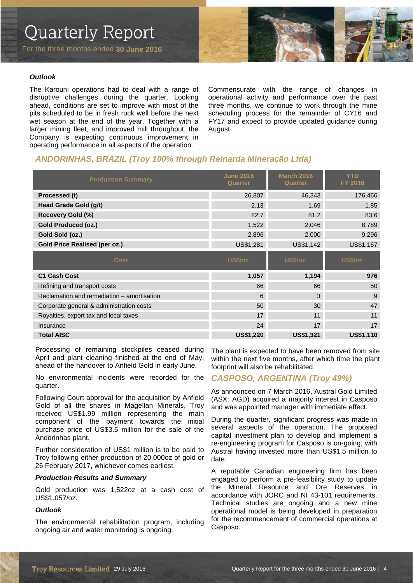# Quarterly Report

For the three months ended **30 June 2016**



#### *Outlook*

The Karouni operations had to deal with a range of disruptive challenges during the quarter. Looking ahead, conditions are set to improve with most of the pits scheduled to be in fresh rock well before the next wet season at the end of the year. Together with a larger mining fleet, and improved mill throughput, the Company is expecting continuous improvement in operating performance in all aspects of the operation.

Commensurate with the range of changes in operational activity and performance over the past three months, we continue to work through the mine scheduling process for the remainder of CY16 and FY17 and expect to provide updated guidance during August.

### *ANDORINHAS, BRAZIL (Troy 100% through Reinarda Mineração Ltda)*

| <b>Production Summary</b>                  | <b>June 2016</b><br><b>Quarter</b> | <b>March 2016</b><br><b>Quarter</b> | <b>YTD</b><br><b>FY 2016</b> |
|--------------------------------------------|------------------------------------|-------------------------------------|------------------------------|
| Processed (t)                              | 26,807                             | 46,343                              | 176,466                      |
| Head Grade Gold (g/t)                      | 2.13                               | 1.69                                | 1.85                         |
| <b>Recovery Gold (%)</b>                   | 82.7                               | 81.2                                | 83.6                         |
| <b>Gold Produced (oz.)</b>                 | 1,522                              | 2,046                               | 8,789                        |
| Gold Sold (oz.)                            | 2,896                              | 2,000                               | 9,296                        |
| <b>Gold Price Realised (per oz.)</b>       | US\$1,281                          | US\$1,142                           | US\$1,167                    |
| <b>Cost</b>                                | US\$/oz.                           | <b>US\$/oz.</b>                     | <b>US\$/oz.</b>              |
| <b>C1 Cash Cost</b>                        | 1,057                              | 1,194                               | 976                          |
| Refining and transport costs               | 66                                 | 66                                  | 50                           |
| Reclamation and remediation - amortisation | 6                                  | 3                                   | 9                            |
| Corporate general & administration costs   | 50                                 | 30                                  | 47                           |
| Royalties, export tax and local taxes      | 17                                 | 11                                  | 11                           |
| Insurance                                  | 24                                 | 17                                  | 17                           |
| <b>Total AISC</b>                          | <b>US\$1,220</b>                   | <b>US\$1,321</b>                    | <b>US\$1,110</b>             |

Processing of remaining stockpiles ceased during April and plant cleaning finished at the end of May, ahead of the handover to Anfield Gold in early June.

No environmental incidents were recorded for the quarter.

Following Court approval for the acquisition by Anfield Gold of all the shares in Magellan Minerals, Troy received US\$1.99 million representing the main component of the payment towards the initial purchase price of US\$3.5 million for the sale of the Andorinhas plant.

Further consideration of US\$1 million is to be paid to Troy following either production of 20,000oz of gold or 26 February 2017, whichever comes earliest.

#### *Production Results and Summary*

Gold production was 1,522oz at a cash cost of US\$1,057/oz.

#### *Outlook*

The environmental rehabilitation program, including ongoing air and water monitoring is ongoing.

The plant is expected to have been removed from site within the next five months, after which time the plant footprint will also be rehabilitated.

#### *CASPOSO, ARGENTINA (Troy 49%)*

As announced on 7 March 2016, Austral Gold Limited (ASX: AGD) acquired a majority interest in Casposo and was appointed manager with immediate effect.

During the quarter, significant progress was made in several aspects of the operation. The proposed capital investment plan to develop and implement a re-engineering program for Casposo is on-going, with Austral having invested more than US\$1.5 million to date.

A reputable Canadian engineering firm has been engaged to perform a pre-feasibility study to update the Mineral Resource and Ore Reserves in accordance with JORC and NI 43-101 requirements. Technical studies are ongoing and a new mine operational model is being developed in preparation for the recommencement of commercial operations at Casposo.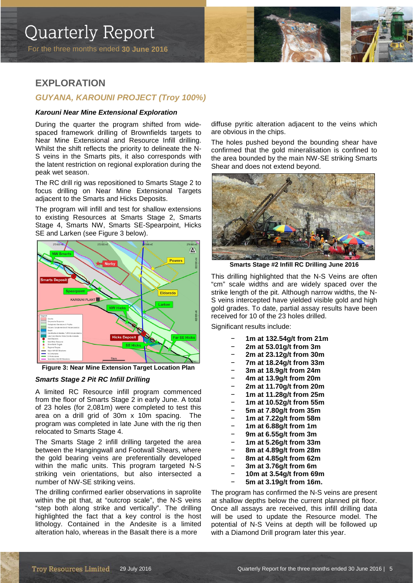For the three months ended **30 June 2016**



# **EXPLORATION**

### *GUYANA, KAROUNI PROJECT (Troy 100%)*

#### *Karouni Near Mine Extensional Exploration*

During the quarter the program shifted from widespaced framework drilling of Brownfields targets to Near Mine Extensional and Resource Infill drilling. Whilst the shift reflects the priority to delineate the N-S veins in the Smarts pits, it also corresponds with the latent restriction on regional exploration during the peak wet season.

The RC drill rig was repositioned to Smarts Stage 2 to focus drilling on Near Mine Extensional Targets adjacent to the Smarts and Hicks Deposits.

The program will infill and test for shallow extensions to existing Resources at Smarts Stage 2, Smarts Stage 4, Smarts NW, Smarts SE-Spearpoint, Hicks SE and Larken (see Figure 3 below).



**Figure 3: Near Mine Extension Target Location Plan**

#### *Smarts Stage 2 Pit RC Infill Drilling*

A limited RC Resource infill program commenced from the floor of Smarts Stage 2 in early June. A total of 23 holes (for 2,081m) were completed to test this area on a drill grid of 30m x 10m spacing. The program was completed in late June with the rig then relocated to Smarts Stage 4.

The Smarts Stage 2 infill drilling targeted the area between the Hangingwall and Footwall Shears, where the gold bearing veins are preferentially developed within the mafic units. This program targeted N-S striking vein orientations, but also intersected a number of NW-SE striking veins.

The drilling confirmed earlier observations in saprolite within the pit that, at "outcrop scale", the N-S veins "step both along strike and vertically". The drilling highlighted the fact that a key control is the host lithology. Contained in the Andesite is a limited alteration halo, whereas in the Basalt there is a more

diffuse pyritic alteration adjacent to the veins which are obvious in the chips.

The holes pushed beyond the bounding shear have confirmed that the gold mineralisation is confined to the area bounded by the main NW-SE striking Smarts Shear and does not extend beyond.



**Smarts Stage #2 Infill RC Drilling June 2016**

This drilling highlighted that the N-S Veins are often "cm" scale widths and are widely spaced over the strike length of the pit. Although narrow widths, the N-S veins intercepted have yielded visible gold and high gold grades. To date, partial assay results have been received for 10 of the 23 holes drilled.

Significant results include:

- − **1m at 132.54g/t from 21m**
- − **2m at 53.01g/t from 3m**
- − **2m at 23.12g/t from 30m**
- − **7m at 18.24g/t from 33m**
- − **3m at 18.9g/t from 24m**
- − **4m at 13.9g/t from 20m**
- − **2m at 11.70g/t from 20m**
- − **1m at 11.28g/t from 25m**
- − **1m at 10.52g/t from 55m**
- − **5m at 7.80g/t from 35m**
- − **1m at 7.22g/t from 58m**
- − **1m at 6.88g/t from 1m**
- − **9m at 6.55g/t from 3m**
- − **1m at 5.26g/t from 33m**
- − **8m at 4.89g/t from 28m**
- − **8m at 4.85g/t from 62m**
- − **3m at 3.76g/t from 6m**
- − **10m at 3.54g/t from 69m**
- − **5m at 3.19g/t from 16m.**

The program has confirmed the N-S veins are present at shallow depths below the current planned pit floor. Once all assays are received, this infill drilling data will be used to update the Resource model. The potential of N-S Veins at depth will be followed up with a Diamond Drill program later this year.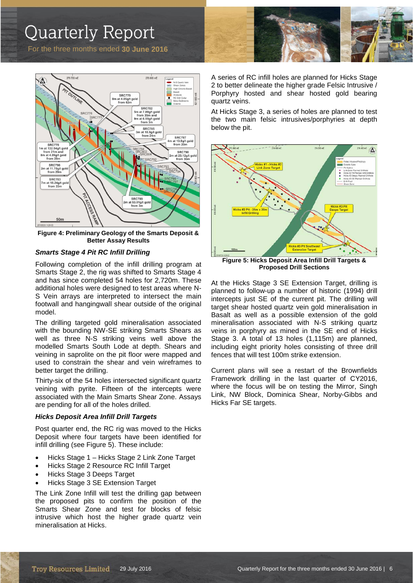# Quarterly Report

For the three months ended **30 June 2016**



**Figure 4: Preliminary Geology of the Smarts Deposit & Better Assay Results**

#### *Smarts Stage 4 Pit RC Infill Drilling*

Following completion of the infill drilling program at Smarts Stage 2, the rig was shifted to Smarts Stage 4 and has since completed 54 holes for 2,720m. These additional holes were designed to test areas where N-S Vein arrays are interpreted to intersect the main footwall and hangingwall shear outside of the original model.

The drilling targeted gold mineralisation associated with the bounding NW-SE striking Smarts Shears as well as three N-S striking veins well above the modelled Smarts South Lode at depth. Shears and veining in saprolite on the pit floor were mapped and used to constrain the shear and vein wireframes to better target the drilling.

Thirty-six of the 54 holes intersected significant quartz veining with pyrite. Fifteen of the intercepts were associated with the Main Smarts Shear Zone. Assays are pending for all of the holes drilled.

#### *Hicks Deposit Area Infill Drill Targets*

Post quarter end, the RC rig was moved to the Hicks Deposit where four targets have been identified for infill drilling (see Figure 5). These include:

- Hicks Stage 1 Hicks Stage 2 Link Zone Target
- Hicks Stage 2 Resource RC Infill Target
- Hicks Stage 3 Deeps Target
- Hicks Stage 3 SE Extension Target

The Link Zone Infill will test the drilling gap between the proposed pits to confirm the position of the Smarts Shear Zone and test for blocks of felsic intrusive which host the higher grade quartz vein mineralisation at Hicks.



A series of RC infill holes are planned for Hicks Stage 2 to better delineate the higher grade Felsic Intrusive / Porphyry hosted and shear hosted gold bearing quartz veins.

At Hicks Stage 3, a series of holes are planned to test the two main felsic intrusives/porphyries at depth below the pit.



**Figure 5: Hicks Deposit Area Infill Drill Targets & Proposed Drill Sections**

At the Hicks Stage 3 SE Extension Target, drilling is planned to follow-up a number of historic (1994) drill intercepts just SE of the current pit. The drilling will target shear hosted quartz vein gold mineralisation in Basalt as well as a possible extension of the gold mineralisation associated with N-S striking quartz veins in porphyry as mined in the SE end of Hicks Stage 3. A total of 13 holes (1,115m) are planned, including eight priority holes consisting of three drill fences that will test 100m strike extension.

Current plans will see a restart of the Brownfields Framework drilling in the last quarter of CY2016, where the focus will be on testing the Mirror, Singh Link, NW Block, Dominica Shear, Norby-Gibbs and Hicks Far SE targets.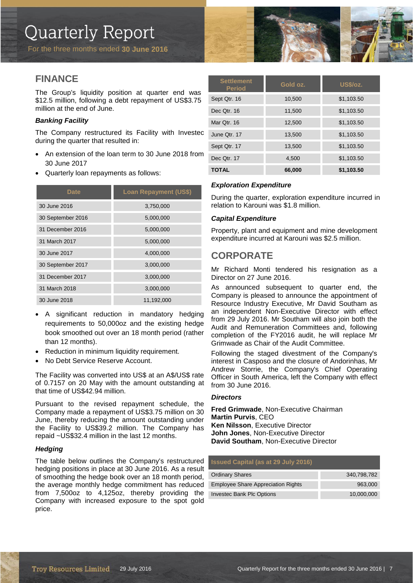# **FINANCE**

The Group's liquidity position at quarter end was \$12.5 million, following a debt repayment of US\$3.75 million at the end of June.

#### *Banking Facility*

The Company restructured its Facility with Investec during the quarter that resulted in:

- An extension of the loan term to 30 June 2018 from 30 June 2017
- Quarterly loan repayments as follows:

| <b>Date</b>       | <b>Loan Repayment (US\$)</b> |
|-------------------|------------------------------|
| 30 June 2016      | 3,750,000                    |
| 30 September 2016 | 5,000,000                    |
| 31 December 2016  | 5,000,000                    |
| 31 March 2017     | 5,000,000                    |
| 30 June 2017      | 4,000,000                    |
| 30 September 2017 | 3,000,000                    |
| 31 December 2017  | 3,000,000                    |
| 31 March 2018     | 3,000,000                    |
| 30 June 2018      | 11,192,000                   |

- A significant reduction in mandatory hedging requirements to 50,000oz and the existing hedge book smoothed out over an 18 month period (rather than 12 months).
- Reduction in minimum liquidity requirement.
- No Debt Service Reserve Account.

The Facility was converted into US\$ at an A\$/US\$ rate of 0.7157 on 20 May with the amount outstanding at that time of US\$42.94 million.

Pursuant to the revised repayment schedule, the Company made a repayment of US\$3.75 million on 30 June, thereby reducing the amount outstanding under the Facility to US\$39.2 million. The Company has repaid ~US\$32.4 million in the last 12 months.

#### *Hedging*

The table below outlines the Company's restructured hedging positions in place at 30 June 2016. As a result of smoothing the hedge book over an 18 month period, the average monthly hedge commitment has reduced from 7,500oz to 4,125oz, thereby providing the Company with increased exposure to the spot gold price.

| <b>Settlement</b><br><b>Period</b> | Gold oz. | <b>US\$/oz.</b> |
|------------------------------------|----------|-----------------|
| Sept Qtr. 16                       | 10,500   | \$1,103.50      |
| Dec Qtr. 16                        | 11,500   | \$1,103.50      |
| Mar Otr. 16                        | 12,500   | \$1,103.50      |
| June Qtr. 17                       | 13,500   | \$1,103.50      |
| Sept Qtr. 17                       | 13,500   | \$1,103.50      |
| Dec Qtr. 17                        | 4,500    | \$1,103.50      |
| <b>TOTAL</b>                       | 66,000   | \$1,103.50      |

#### *Exploration Expenditure*

During the quarter, exploration expenditure incurred in relation to Karouni was \$1.8 million.

#### *Capital Expenditure*

Property, plant and equipment and mine development expenditure incurred at Karouni was \$2.5 million.

## **CORPORATE**

Mr Richard Monti tendered his resignation as a Director on 27 June 2016.

As announced subsequent to quarter end, the Company is pleased to announce the appointment of Resource Industry Executive, Mr David Southam as an independent Non-Executive Director with effect from 29 July 2016. Mr Southam will also join both the Audit and Remuneration Committees and, following completion of the FY2016 audit, he will replace Mr Grimwade as Chair of the Audit Committee.

Following the staged divestment of the Company's interest in Casposo and the closure of Andorinhas, Mr Andrew Storrie, the Company's Chief Operating Officer in South America, left the Company with effect from 30 June 2016.

#### *Directors*

**Fred Grimwade**, Non-Executive Chairman **Martin Purvis**, CEO **Ken Nilsson**, Executive Director **John Jones**, Non-Executive Director **David Southam**, Non-Executive Director

#### **Issued Capital (as at 29 July 2016)**

| <b>Ordinary Shares</b>                    | 340.798.782 |
|-------------------------------------------|-------------|
| <b>Employee Share Appreciation Rights</b> | 963,000     |
| <b>Investec Bank Plc Options</b>          | 10.000.000  |